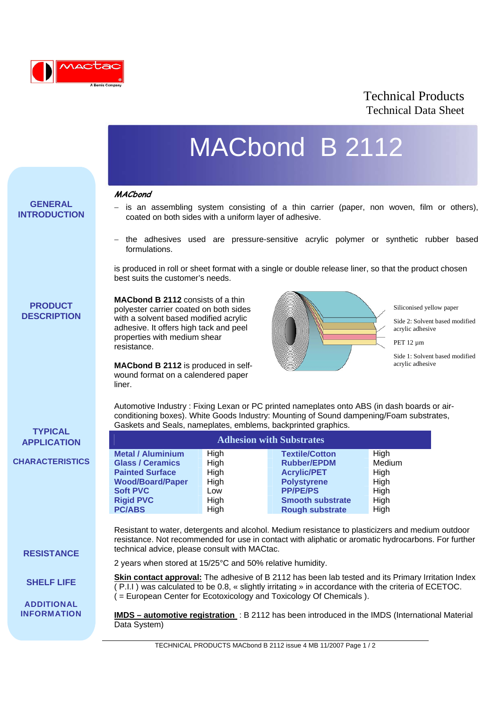

## Technical Products Technical Data Sheet

# MACbond B 2112

#### **MACbond**

l

**GENERAL INTRODUCTION**

- 
- is an assembling system consisting of a thin carrier (paper, non woven, film or others), coated on both sides with a uniform layer of adhesive.
- − the adhesives used are pressure-sensitive acrylic polymer or synthetic rubber based formulations.

is produced in roll or sheet format with a single or double release liner, so that the product chosen best suits the customer's needs.

### **PRODUCT DESCRIPTION**

**TYPICAL APPLICATION**

**CHARACTERISTICS**

**RESISTANCE**

**SHELF LIFE**

**ADDITIONAL INFORMATION** **MACbond B 2112** consists of a thin polyester carrier coated on both sides with a solvent based modified acrylic adhesive. It offers high tack and peel properties with medium shear resistance.

**MACbond B 2112** is produced in selfwound format on a calendered paper liner.



Siliconised yellow paper

Side 2: Solvent based modified acrylic adhesive

PET 12 µm

Side 1: Solvent based modified acrylic adhesive

Automotive Industry : Fixing Lexan or PC printed nameplates onto ABS (in dash boards or airconditioning boxes). White Goods Industry: Mounting of Sound dampening/Foam substrates, Gaskets and Seals, nameplates, emblems, backprinted graphics.

| <b>Adhesion with Substrates</b> |      |                         |        |  |
|---------------------------------|------|-------------------------|--------|--|
| <b>Metal / Aluminium</b>        | High | <b>Textile/Cotton</b>   | High   |  |
| <b>Glass / Ceramics</b>         | High | <b>Rubber/EPDM</b>      | Medium |  |
| <b>Painted Surface</b>          | High | <b>Acrylic/PET</b>      | High   |  |
| <b>Wood/Board/Paper</b>         | High | <b>Polystyrene</b>      | High   |  |
| <b>Soft PVC</b>                 | Low  | <b>PP/PE/PS</b>         | High   |  |
| <b>Rigid PVC</b>                | High | <b>Smooth substrate</b> | High   |  |
| <b>PC/ABS</b>                   | High | <b>Rough substrate</b>  | High   |  |

Resistant to water, detergents and alcohol. Medium resistance to plasticizers and medium outdoor resistance. Not recommended for use in contact with aliphatic or aromatic hydrocarbons. For further technical advice, please consult with MACtac.

2 years when stored at 15/25°C and 50% relative humidity.

**Skin contact approval:** The adhesive of B 2112 has been lab tested and its Primary Irritation Index  $($  P.I.I ) was calculated to be 0.8, « slightly irritating » in accordance with the criteria of ECETOC.  $\hat{I}$  = European Center for Ecotoxicology and Toxicology Of Chemicals ).

**IMDS – automotive registration** : B 2112 has been introduced in the IMDS (International Material Data System)